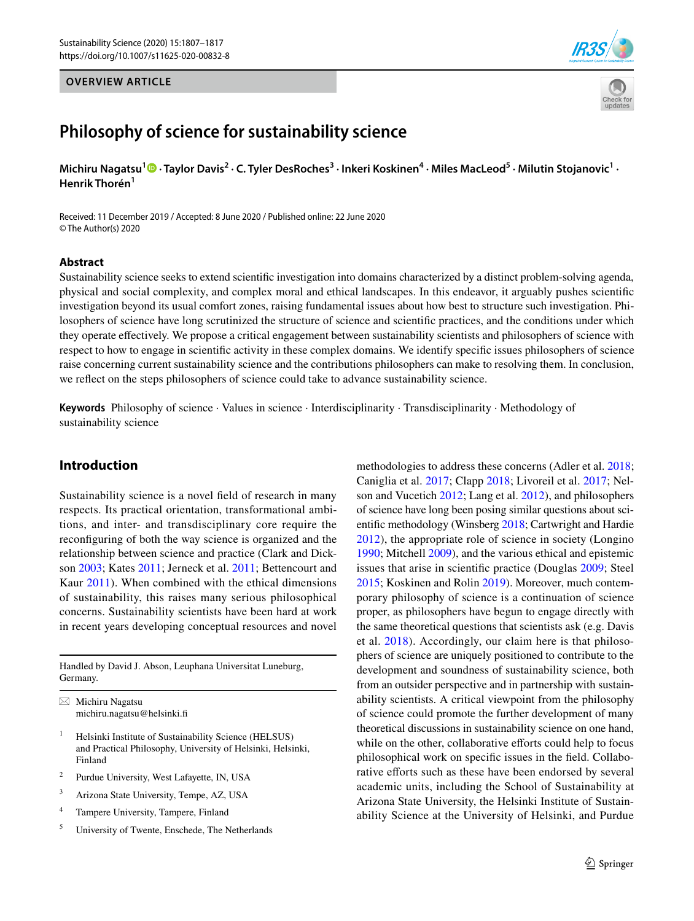## **OVERVIEW ARTICLE**





# **Philosophy of science for sustainability science**

Michiru Nagatsu<sup>[1](http://orcid.org/0000-0001-6566-0307)</sup> <sup>1</sup> • Taylor Davis<sup>2</sup> • C. Tyler DesRoches<sup>3</sup> • Inkeri Koskinen<sup>4</sup> • Miles MacLeod<sup>5</sup> • Milutin Stojanovic<sup>1</sup> • **Henrik Thorén<sup>1</sup>**

Received: 11 December 2019 / Accepted: 8 June 2020 / Published online: 22 June 2020 © The Author(s) 2020

#### **Abstract**

Sustainability science seeks to extend scientifc investigation into domains characterized by a distinct problem-solving agenda, physical and social complexity, and complex moral and ethical landscapes. In this endeavor, it arguably pushes scientifc investigation beyond its usual comfort zones, raising fundamental issues about how best to structure such investigation. Philosophers of science have long scrutinized the structure of science and scientifc practices, and the conditions under which they operate efectively. We propose a critical engagement between sustainability scientists and philosophers of science with respect to how to engage in scientifc activity in these complex domains. We identify specifc issues philosophers of science raise concerning current sustainability science and the contributions philosophers can make to resolving them. In conclusion, we refect on the steps philosophers of science could take to advance sustainability science.

**Keywords** Philosophy of science · Values in science · Interdisciplinarity · Transdisciplinarity · Methodology of sustainability science

## **Introduction**

Sustainability science is a novel feld of research in many respects. Its practical orientation, transformational ambitions, and inter- and transdisciplinary core require the reconfguring of both the way science is organized and the relationship between science and practice (Clark and Dickson [2003;](#page-9-0) Kates [2011;](#page-9-1) Jerneck et al. [2011](#page-9-2); Bettencourt and Kaur [2011](#page-8-0)). When combined with the ethical dimensions of sustainability, this raises many serious philosophical concerns. Sustainability scientists have been hard at work in recent years developing conceptual resources and novel

Handled by David J. Abson, Leuphana Universitat Luneburg, Germany.

 $\boxtimes$  Michiru Nagatsu michiru.nagatsu@helsinki.f

- <sup>1</sup> Helsinki Institute of Sustainability Science (HELSUS) and Practical Philosophy, University of Helsinki, Helsinki, Finland
- <sup>2</sup> Purdue University, West Lafayette, IN, USA
- <sup>3</sup> Arizona State University, Tempe, AZ, USA
- <sup>4</sup> Tampere University, Tampere, Finland
- <sup>5</sup> University of Twente, Enschede, The Netherlands

methodologies to address these concerns (Adler et al. [2018](#page-8-1); Caniglia et al. [2017;](#page-8-2) Clapp [2018](#page-8-3); Livoreil et al. [2017](#page-9-3); Nelson and Vucetich [2012;](#page-10-0) Lang et al. [2012\)](#page-9-4), and philosophers of science have long been posing similar questions about scientifc methodology (Winsberg [2018;](#page-10-1) Cartwright and Hardie [2012\)](#page-8-4), the appropriate role of science in society (Longino [1990](#page-10-2); Mitchell [2009\)](#page-10-3), and the various ethical and epistemic issues that arise in scientifc practice (Douglas [2009;](#page-9-5) Steel [2015](#page-10-4); Koskinen and Rolin [2019](#page-9-6)). Moreover, much contemporary philosophy of science is a continuation of science proper, as philosophers have begun to engage directly with the same theoretical questions that scientists ask (e.g. Davis et al. [2018\)](#page-9-7). Accordingly, our claim here is that philosophers of science are uniquely positioned to contribute to the development and soundness of sustainability science, both from an outsider perspective and in partnership with sustainability scientists. A critical viewpoint from the philosophy of science could promote the further development of many theoretical discussions in sustainability science on one hand, while on the other, collaborative efforts could help to focus philosophical work on specifc issues in the feld. Collaborative efforts such as these have been endorsed by several academic units, including the School of Sustainability at Arizona State University, the Helsinki Institute of Sustainability Science at the University of Helsinki, and Purdue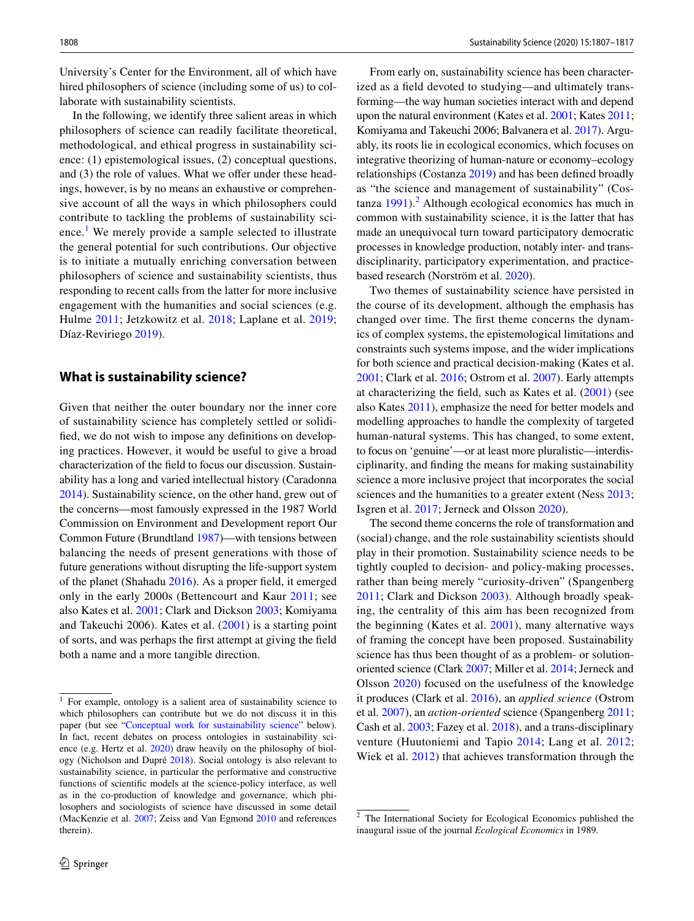University's Center for the Environment, all of which have hired philosophers of science (including some of us) to collaborate with sustainability scientists.

In the following, we identify three salient areas in which philosophers of science can readily facilitate theoretical, methodological, and ethical progress in sustainability science: (1) epistemological issues, (2) conceptual questions, and (3) the role of values. What we offer under these headings, however, is by no means an exhaustive or comprehensive account of all the ways in which philosophers could contribute to tackling the problems of sustainability sci-ence.<sup>[1](#page-1-0)</sup> We merely provide a sample selected to illustrate the general potential for such contributions. Our objective is to initiate a mutually enriching conversation between philosophers of science and sustainability scientists, thus responding to recent calls from the latter for more inclusive engagement with the humanities and social sciences (e.g. Hulme [2011;](#page-9-8) Jetzkowitz et al. [2018;](#page-9-9) Laplane et al. [2019](#page-9-10); Díaz-Reviriego [2019\)](#page-9-11).

### **What is sustainability science?**

Given that neither the outer boundary nor the inner core of sustainability science has completely settled or solidifed, we do not wish to impose any defnitions on developing practices. However, it would be useful to give a broad characterization of the feld to focus our discussion. Sustainability has a long and varied intellectual history (Caradonna [2014\)](#page-8-5). Sustainability science, on the other hand, grew out of the concerns—most famously expressed in the 1987 World Commission on Environment and Development report Our Common Future (Brundtland [1987](#page-8-6))—with tensions between balancing the needs of present generations with those of future generations without disrupting the life-support system of the planet (Shahadu [2016](#page-10-5)). As a proper feld, it emerged only in the early 2000s (Bettencourt and Kaur [2011;](#page-8-0) see also Kates et al. [2001;](#page-9-12) Clark and Dickson [2003;](#page-9-0) Komiyama and Takeuchi 2006). Kates et al. ([2001](#page-9-12)) is a starting point of sorts, and was perhaps the frst attempt at giving the feld both a name and a more tangible direction.

From early on, sustainability science has been characterized as a feld devoted to studying—and ultimately transforming—the way human societies interact with and depend upon the natural environment (Kates et al. [2001](#page-9-12); Kates [2011](#page-9-1); Komiyama and Takeuchi 2006; Balvanera et al. [2017\)](#page-8-7). Arguably, its roots lie in ecological economics, which focuses on integrative theorizing of human-nature or economy–ecology relationships (Costanza [2019\)](#page-9-13) and has been defned broadly as "the science and management of sustainability" (Cos $tanza$  [1991\)](#page-9-14).<sup>[2](#page-1-1)</sup> Although ecological economics has much in common with sustainability science, it is the latter that has made an unequivocal turn toward participatory democratic processes in knowledge production, notably inter- and transdisciplinarity, participatory experimentation, and practicebased research (Norström et al. [2020\)](#page-10-6).

Two themes of sustainability science have persisted in the course of its development, although the emphasis has changed over time. The frst theme concerns the dynamics of complex systems, the epistemological limitations and constraints such systems impose, and the wider implications for both science and practical decision-making (Kates et al. [2001](#page-9-12); Clark et al. [2016](#page-9-15); Ostrom et al. [2007\)](#page-10-7). Early attempts at characterizing the feld, such as Kates et al. [\(2001\)](#page-9-12) (see also Kates [2011](#page-9-1)), emphasize the need for better models and modelling approaches to handle the complexity of targeted human-natural systems. This has changed, to some extent, to focus on 'genuine'—or at least more pluralistic—interdisciplinarity, and fnding the means for making sustainability science a more inclusive project that incorporates the social sciences and the humanities to a greater extent (Ness [2013](#page-10-8); Isgren et al. [2017](#page-9-16); Jerneck and Olsson [2020](#page-9-17)).

The second theme concerns the role of transformation and (social) change, and the role sustainability scientists should play in their promotion. Sustainability science needs to be tightly coupled to decision- and policy-making processes, rather than being merely "curiosity-driven" (Spangenberg [2011;](#page-10-9) Clark and Dickson [2003](#page-9-0)). Although broadly speaking, the centrality of this aim has been recognized from the beginning (Kates et al. [2001\)](#page-9-12), many alternative ways of framing the concept have been proposed. Sustainability science has thus been thought of as a problem- or solutionoriented science (Clark [2007;](#page-8-8) Miller et al. [2014;](#page-10-10) Jerneck and Olsson [2020\)](#page-9-17) focused on the usefulness of the knowledge it produces (Clark et al. [2016\)](#page-9-15), an *applied science* (Ostrom et al. [2007\)](#page-10-7), an *action-oriented* science (Spangenberg [2011](#page-10-9); Cash et al. [2003;](#page-8-9) Fazey et al. [2018](#page-9-18)), and a trans-disciplinary venture (Huutoniemi and Tapio [2014;](#page-9-19) Lang et al. [2012](#page-9-20); Wiek et al. [2012\)](#page-10-11) that achieves transformation through the

<span id="page-1-0"></span><sup>&</sup>lt;sup>1</sup> For example, ontology is a salient area of sustainability science to which philosophers can contribute but we do not discuss it in this paper (but see "[Conceptual work for sustainability science"](#page-2-0) below). In fact, recent debates on process ontologies in sustainability science (e.g. Hertz et al. [2020\)](#page-9-21) draw heavily on the philosophy of biology (Nicholson and Dupré [2018](#page-10-12)). Social ontology is also relevant to sustainability science, in particular the performative and constructive functions of scientifc models at the science-policy interface, as well as in the co-production of knowledge and governance, which philosophers and sociologists of science have discussed in some detail (MacKenzie et al. [2007](#page-10-13); Zeiss and Van Egmond [2010](#page-10-14) and references therein).

<span id="page-1-1"></span><sup>2</sup> The International Society for Ecological Economics published the inaugural issue of the journal *Ecological Economics* in 1989.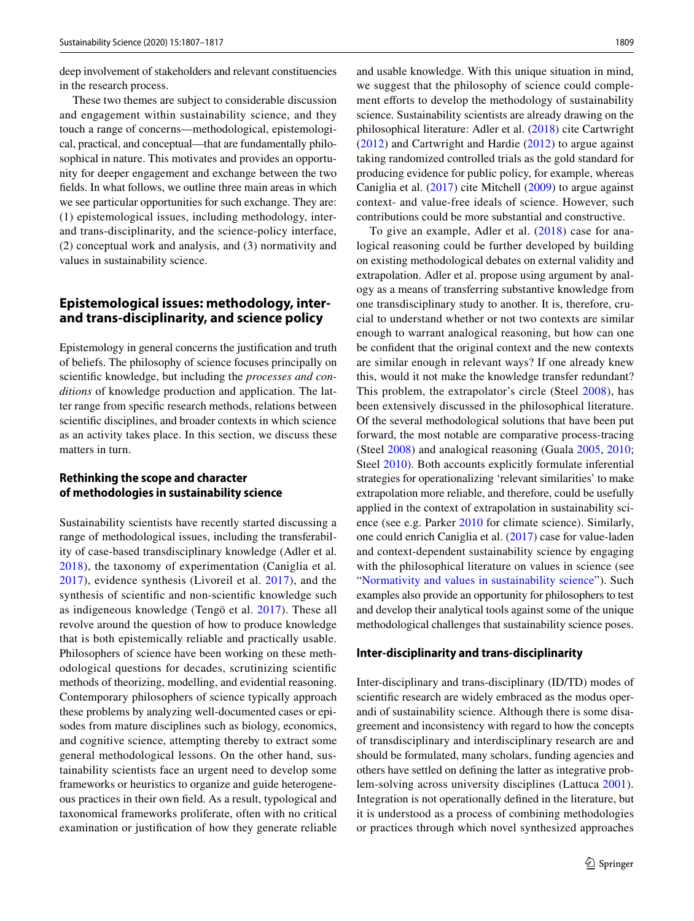deep involvement of stakeholders and relevant constituencies in the research process.

These two themes are subject to considerable discussion and engagement within sustainability science, and they touch a range of concerns—methodological, epistemological, practical, and conceptual—that are fundamentally philosophical in nature. This motivates and provides an opportunity for deeper engagement and exchange between the two felds. In what follows, we outline three main areas in which we see particular opportunities for such exchange. They are: (1) epistemological issues, including methodology, interand trans-disciplinarity, and the science-policy interface, (2) conceptual work and analysis, and (3) normativity and values in sustainability science.

## **Epistemological issues: methodology, inter‑ and trans‑disciplinarity, and science policy**

Epistemology in general concerns the justifcation and truth of beliefs. The philosophy of science focuses principally on scientifc knowledge, but including the *processes and conditions* of knowledge production and application. The latter range from specifc research methods, relations between scientifc disciplines, and broader contexts in which science as an activity takes place. In this section, we discuss these matters in turn.

## <span id="page-2-0"></span>**Rethinking the scope and character of methodologies in sustainability science**

Sustainability scientists have recently started discussing a range of methodological issues, including the transferability of case-based transdisciplinary knowledge (Adler et al. [2018\)](#page-8-1), the taxonomy of experimentation (Caniglia et al. [2017\)](#page-8-2), evidence synthesis (Livoreil et al. [2017\)](#page-9-3), and the synthesis of scientifc and non-scientifc knowledge such as indigeneous knowledge (Tengö et al. [2017](#page-10-15)). These all revolve around the question of how to produce knowledge that is both epistemically reliable and practically usable. Philosophers of science have been working on these methodological questions for decades, scrutinizing scientifc methods of theorizing, modelling, and evidential reasoning. Contemporary philosophers of science typically approach these problems by analyzing well-documented cases or episodes from mature disciplines such as biology, economics, and cognitive science, attempting thereby to extract some general methodological lessons. On the other hand, sustainability scientists face an urgent need to develop some frameworks or heuristics to organize and guide heterogeneous practices in their own feld. As a result, typological and taxonomical frameworks proliferate, often with no critical examination or justifcation of how they generate reliable and usable knowledge. With this unique situation in mind, we suggest that the philosophy of science could complement efforts to develop the methodology of sustainability science. Sustainability scientists are already drawing on the philosophical literature: Adler et al. ([2018\)](#page-8-1) cite Cartwright ([2012\)](#page-8-10) and Cartwright and Hardie ([2012](#page-8-4)) to argue against taking randomized controlled trials as the gold standard for producing evidence for public policy, for example, whereas Caniglia et al. [\(2017\)](#page-8-2) cite Mitchell ([2009\)](#page-10-3) to argue against context- and value-free ideals of science. However, such contributions could be more substantial and constructive.

To give an example, Adler et al. [\(2018](#page-8-1)) case for analogical reasoning could be further developed by building on existing methodological debates on external validity and extrapolation. Adler et al. propose using argument by analogy as a means of transferring substantive knowledge from one transdisciplinary study to another. It is, therefore, crucial to understand whether or not two contexts are similar enough to warrant analogical reasoning, but how can one be confdent that the original context and the new contexts are similar enough in relevant ways? If one already knew this, would it not make the knowledge transfer redundant? This problem, the extrapolator's circle (Steel [2008\)](#page-10-16), has been extensively discussed in the philosophical literature. Of the several methodological solutions that have been put forward, the most notable are comparative process-tracing (Steel [2008](#page-10-16)) and analogical reasoning (Guala [2005,](#page-9-22) [2010](#page-9-23); Steel [2010\)](#page-10-17). Both accounts explicitly formulate inferential strategies for operationalizing 'relevant similarities' to make extrapolation more reliable, and therefore, could be usefully applied in the context of extrapolation in sustainability science (see e.g. Parker [2010](#page-10-18) for climate science). Similarly, one could enrich Caniglia et al. ([2017\)](#page-8-2) case for value-laden and context-dependent sustainability science by engaging with the philosophical literature on values in science (see "[Normativity and values in sustainability science](#page-2-1)"). Such examples also provide an opportunity for philosophers to test and develop their analytical tools against some of the unique methodological challenges that sustainability science poses.

#### <span id="page-2-1"></span>**Inter‑disciplinarity and trans‑disciplinarity**

Inter-disciplinary and trans-disciplinary (ID/TD) modes of scientifc research are widely embraced as the modus operandi of sustainability science. Although there is some disagreement and inconsistency with regard to how the concepts of transdisciplinary and interdisciplinary research are and should be formulated, many scholars, funding agencies and others have settled on defning the latter as integrative problem-solving across university disciplines (Lattuca [2001](#page-9-24)). Integration is not operationally defned in the literature, but it is understood as a process of combining methodologies or practices through which novel synthesized approaches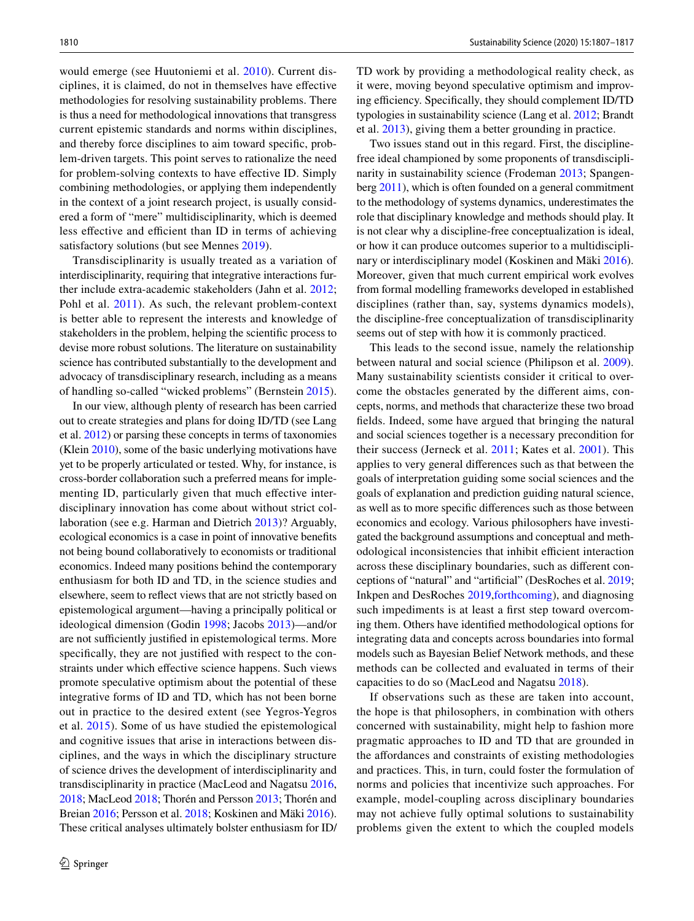would emerge (see Huutoniemi et al. [2010](#page-9-25)). Current disciplines, it is claimed, do not in themselves have efective methodologies for resolving sustainability problems. There is thus a need for methodological innovations that transgress current epistemic standards and norms within disciplines, and thereby force disciplines to aim toward specifc, problem-driven targets. This point serves to rationalize the need for problem-solving contexts to have efective ID. Simply combining methodologies, or applying them independently in the context of a joint research project, is usually considered a form of "mere" multidisciplinarity, which is deemed less effective and efficient than ID in terms of achieving satisfactory solutions (but see Mennes [2019\)](#page-10-19).

Transdisciplinarity is usually treated as a variation of interdisciplinarity, requiring that integrative interactions further include extra-academic stakeholders (Jahn et al. [2012](#page-9-20); Pohl et al. [2011](#page-10-20)). As such, the relevant problem-context is better able to represent the interests and knowledge of stakeholders in the problem, helping the scientifc process to devise more robust solutions. The literature on sustainability science has contributed substantially to the development and advocacy of transdisciplinary research, including as a means of handling so-called "wicked problems" (Bernstein [2015](#page-8-11)).

In our view, although plenty of research has been carried out to create strategies and plans for doing ID/TD (see Lang et al. [2012\)](#page-9-4) or parsing these concepts in terms of taxonomies (Klein [2010](#page-9-26)), some of the basic underlying motivations have yet to be properly articulated or tested. Why, for instance, is cross-border collaboration such a preferred means for implementing ID, particularly given that much effective interdisciplinary innovation has come about without strict collaboration (see e.g. Harman and Dietrich [2013\)](#page-9-27)? Arguably, ecological economics is a case in point of innovative benefts not being bound collaboratively to economists or traditional economics. Indeed many positions behind the contemporary enthusiasm for both ID and TD, in the science studies and elsewhere, seem to refect views that are not strictly based on epistemological argument—having a principally political or ideological dimension (Godin [1998;](#page-9-28) Jacobs [2013\)](#page-9-29)—and/or are not sufficiently justified in epistemological terms. More specifcally, they are not justifed with respect to the constraints under which efective science happens. Such views promote speculative optimism about the potential of these integrative forms of ID and TD, which has not been borne out in practice to the desired extent (see Yegros-Yegros et al. [2015\)](#page-10-21). Some of us have studied the epistemological and cognitive issues that arise in interactions between disciplines, and the ways in which the disciplinary structure of science drives the development of interdisciplinarity and transdisciplinarity in practice (MacLeod and Nagatsu [2016,](#page-10-22) [2018;](#page-10-23) MacLeod [2018](#page-10-24); Thorén and Persson [2013](#page-10-25); Thorén and Breian [2016;](#page-10-26) Persson et al. [2018;](#page-10-27) Koskinen and Mäki [2016](#page-9-30)). These critical analyses ultimately bolster enthusiasm for ID/ TD work by providing a methodological reality check, as it were, moving beyond speculative optimism and improving efficiency. Specifically, they should complement ID/TD typologies in sustainability science (Lang et al. [2012](#page-9-4); Brandt et al. [2013](#page-8-12)), giving them a better grounding in practice.

Two issues stand out in this regard. First, the disciplinefree ideal championed by some proponents of transdisciplinarity in sustainability science (Frodeman [2013;](#page-9-31) Spangenberg [2011](#page-10-9)), which is often founded on a general commitment to the methodology of systems dynamics, underestimates the role that disciplinary knowledge and methods should play. It is not clear why a discipline-free conceptualization is ideal, or how it can produce outcomes superior to a multidisciplinary or interdisciplinary model (Koskinen and Mäki [2016](#page-9-30)). Moreover, given that much current empirical work evolves from formal modelling frameworks developed in established disciplines (rather than, say, systems dynamics models), the discipline-free conceptualization of transdisciplinarity seems out of step with how it is commonly practiced.

This leads to the second issue, namely the relationship between natural and social science (Philipson et al. [2009](#page-10-28)). Many sustainability scientists consider it critical to overcome the obstacles generated by the diferent aims, concepts, norms, and methods that characterize these two broad felds. Indeed, some have argued that bringing the natural and social sciences together is a necessary precondition for their success (Jerneck et al. [2011](#page-9-2); Kates et al. [2001](#page-9-12)). This applies to very general diferences such as that between the goals of interpretation guiding some social sciences and the goals of explanation and prediction guiding natural science, as well as to more specifc diferences such as those between economics and ecology. Various philosophers have investigated the background assumptions and conceptual and methodological inconsistencies that inhibit efficient interaction across these disciplinary boundaries, such as diferent conceptions of "natural" and "artifcial" (DesRoches et al. [2019](#page-9-32); Inkpen and DesRoches [2019,](#page-9-33)[forthcoming](#page-9-34)), and diagnosing such impediments is at least a frst step toward overcoming them. Others have identifed methodological options for integrating data and concepts across boundaries into formal models such as Bayesian Belief Network methods, and these methods can be collected and evaluated in terms of their capacities to do so (MacLeod and Nagatsu [2018\)](#page-10-23).

If observations such as these are taken into account, the hope is that philosophers, in combination with others concerned with sustainability, might help to fashion more pragmatic approaches to ID and TD that are grounded in the affordances and constraints of existing methodologies and practices. This, in turn, could foster the formulation of norms and policies that incentivize such approaches. For example, model-coupling across disciplinary boundaries may not achieve fully optimal solutions to sustainability problems given the extent to which the coupled models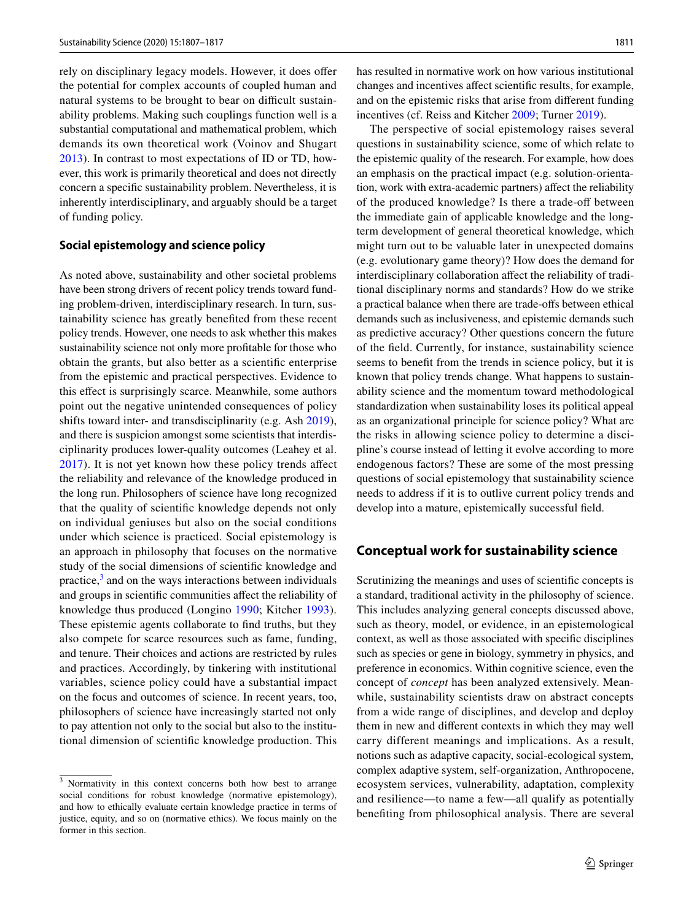rely on disciplinary legacy models. However, it does offer the potential for complex accounts of coupled human and natural systems to be brought to bear on difficult sustainability problems. Making such couplings function well is a substantial computational and mathematical problem, which demands its own theoretical work (Voinov and Shugart [2013](#page-10-29)). In contrast to most expectations of ID or TD, however, this work is primarily theoretical and does not directly concern a specifc sustainability problem. Nevertheless, it is inherently interdisciplinary, and arguably should be a target of funding policy.

#### **Social epistemology and science policy**

As noted above, sustainability and other societal problems have been strong drivers of recent policy trends toward funding problem-driven, interdisciplinary research. In turn, sustainability science has greatly benefted from these recent policy trends. However, one needs to ask whether this makes sustainability science not only more proftable for those who obtain the grants, but also better as a scientifc enterprise from the epistemic and practical perspectives. Evidence to this efect is surprisingly scarce. Meanwhile, some authors point out the negative unintended consequences of policy shifts toward inter- and transdisciplinarity (e.g. Ash [2019](#page-8-13)), and there is suspicion amongst some scientists that interdisciplinarity produces lower-quality outcomes (Leahey et al. [2017\)](#page-9-35). It is not yet known how these policy trends afect the reliability and relevance of the knowledge produced in the long run. Philosophers of science have long recognized that the quality of scientifc knowledge depends not only on individual geniuses but also on the social conditions under which science is practiced. Social epistemology is an approach in philosophy that focuses on the normative study of the social dimensions of scientifc knowledge and practice, $3$  and on the ways interactions between individuals and groups in scientifc communities afect the reliability of knowledge thus produced (Longino [1990;](#page-10-2) Kitcher [1993](#page-9-36)). These epistemic agents collaborate to fnd truths, but they also compete for scarce resources such as fame, funding, and tenure. Their choices and actions are restricted by rules and practices. Accordingly, by tinkering with institutional variables, science policy could have a substantial impact on the focus and outcomes of science. In recent years, too, philosophers of science have increasingly started not only to pay attention not only to the social but also to the institutional dimension of scientifc knowledge production. This

has resulted in normative work on how various institutional changes and incentives afect scientifc results, for example, and on the epistemic risks that arise from diferent funding incentives (cf. Reiss and Kitcher [2009;](#page-10-30) Turner [2019\)](#page-10-31).

The perspective of social epistemology raises several questions in sustainability science, some of which relate to the epistemic quality of the research. For example, how does an emphasis on the practical impact (e.g. solution-orientation, work with extra-academic partners) afect the reliability of the produced knowledge? Is there a trade-of between the immediate gain of applicable knowledge and the longterm development of general theoretical knowledge, which might turn out to be valuable later in unexpected domains (e.g. evolutionary game theory)? How does the demand for interdisciplinary collaboration afect the reliability of traditional disciplinary norms and standards? How do we strike a practical balance when there are trade-ofs between ethical demands such as inclusiveness, and epistemic demands such as predictive accuracy? Other questions concern the future of the feld. Currently, for instance, sustainability science seems to beneft from the trends in science policy, but it is known that policy trends change. What happens to sustainability science and the momentum toward methodological standardization when sustainability loses its political appeal as an organizational principle for science policy? What are the risks in allowing science policy to determine a discipline's course instead of letting it evolve according to more endogenous factors? These are some of the most pressing questions of social epistemology that sustainability science needs to address if it is to outlive current policy trends and develop into a mature, epistemically successful feld.

## **Conceptual work for sustainability science**

Scrutinizing the meanings and uses of scientifc concepts is a standard, traditional activity in the philosophy of science. This includes analyzing general concepts discussed above, such as theory, model, or evidence, in an epistemological context, as well as those associated with specifc disciplines such as species or gene in biology, symmetry in physics, and preference in economics. Within cognitive science, even the concept of *concept* has been analyzed extensively. Meanwhile, sustainability scientists draw on abstract concepts from a wide range of disciplines, and develop and deploy them in new and diferent contexts in which they may well carry different meanings and implications. As a result, notions such as adaptive capacity, social-ecological system, complex adaptive system, self-organization, Anthropocene, ecosystem services, vulnerability, adaptation, complexity and resilience—to name a few—all qualify as potentially benefting from philosophical analysis. There are several

<span id="page-4-0"></span><sup>&</sup>lt;sup>3</sup> Normativity in this context concerns both how best to arrange social conditions for robust knowledge (normative epistemology), and how to ethically evaluate certain knowledge practice in terms of justice, equity, and so on (normative ethics). We focus mainly on the former in this section.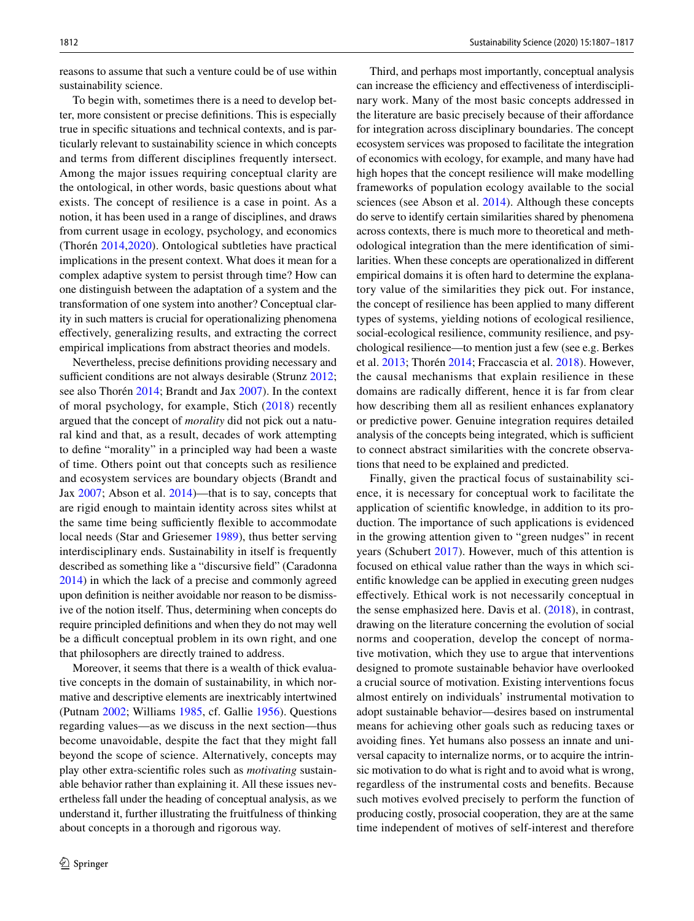reasons to assume that such a venture could be of use within sustainability science.

To begin with, sometimes there is a need to develop better, more consistent or precise defnitions. This is especially true in specifc situations and technical contexts, and is particularly relevant to sustainability science in which concepts and terms from diferent disciplines frequently intersect. Among the major issues requiring conceptual clarity are the ontological, in other words, basic questions about what exists. The concept of resilience is a case in point. As a notion, it has been used in a range of disciplines, and draws from current usage in ecology, psychology, and economics (Thorén [2014](#page-10-32),[2020](#page-10-33)). Ontological subtleties have practical implications in the present context. What does it mean for a complex adaptive system to persist through time? How can one distinguish between the adaptation of a system and the transformation of one system into another? Conceptual clarity in such matters is crucial for operationalizing phenomena efectively, generalizing results, and extracting the correct empirical implications from abstract theories and models.

Nevertheless, precise defnitions providing necessary and sufficient conditions are not always desirable (Strunz  $2012$ ; see also Thorén [2014](#page-10-32); Brandt and Jax [2007](#page-8-14)). In the context of moral psychology, for example, Stich [\(2018](#page-10-35)) recently argued that the concept of *morality* did not pick out a natural kind and that, as a result, decades of work attempting to defne "morality" in a principled way had been a waste of time. Others point out that concepts such as resilience and ecosystem services are boundary objects (Brandt and Jax [2007](#page-8-14); Abson et al. [2014](#page-8-15))—that is to say, concepts that are rigid enough to maintain identity across sites whilst at the same time being sufficiently flexible to accommodate local needs (Star and Griesemer [1989\)](#page-10-36), thus better serving interdisciplinary ends. Sustainability in itself is frequently described as something like a "discursive feld" (Caradonna [2014](#page-8-5)) in which the lack of a precise and commonly agreed upon defnition is neither avoidable nor reason to be dismissive of the notion itself. Thus, determining when concepts do require principled defnitions and when they do not may well be a difficult conceptual problem in its own right, and one that philosophers are directly trained to address.

Moreover, it seems that there is a wealth of thick evaluative concepts in the domain of sustainability, in which normative and descriptive elements are inextricably intertwined (Putnam [2002](#page-10-37); Williams [1985,](#page-10-38) cf. Gallie [1956](#page-9-37)). Questions regarding values—as we discuss in the next section—thus become unavoidable, despite the fact that they might fall beyond the scope of science. Alternatively, concepts may play other extra-scientifc roles such as *motivating* sustainable behavior rather than explaining it. All these issues nevertheless fall under the heading of conceptual analysis, as we understand it, further illustrating the fruitfulness of thinking about concepts in a thorough and rigorous way.

Third, and perhaps most importantly, conceptual analysis can increase the efficiency and effectiveness of interdisciplinary work. Many of the most basic concepts addressed in the literature are basic precisely because of their afordance for integration across disciplinary boundaries. The concept ecosystem services was proposed to facilitate the integration of economics with ecology, for example, and many have had high hopes that the concept resilience will make modelling frameworks of population ecology available to the social sciences (see Abson et al. [2014\)](#page-8-15). Although these concepts do serve to identify certain similarities shared by phenomena across contexts, there is much more to theoretical and methodological integration than the mere identifcation of similarities. When these concepts are operationalized in diferent empirical domains it is often hard to determine the explanatory value of the similarities they pick out. For instance, the concept of resilience has been applied to many diferent types of systems, yielding notions of ecological resilience, social-ecological resilience, community resilience, and psychological resilience—to mention just a few (see e.g. Berkes et al. [2013](#page-8-16); Thorén [2014](#page-10-32); Fraccascia et al. [2018\)](#page-9-38). However, the causal mechanisms that explain resilience in these domains are radically diferent, hence it is far from clear how describing them all as resilient enhances explanatory or predictive power. Genuine integration requires detailed analysis of the concepts being integrated, which is sufficient to connect abstract similarities with the concrete observations that need to be explained and predicted.

Finally, given the practical focus of sustainability science, it is necessary for conceptual work to facilitate the application of scientifc knowledge, in addition to its production. The importance of such applications is evidenced in the growing attention given to "green nudges" in recent years (Schubert [2017\)](#page-10-39). However, much of this attention is focused on ethical value rather than the ways in which scientifc knowledge can be applied in executing green nudges efectively. Ethical work is not necessarily conceptual in the sense emphasized here. Davis et al. [\(2018\)](#page-9-7), in contrast, drawing on the literature concerning the evolution of social norms and cooperation, develop the concept of normative motivation, which they use to argue that interventions designed to promote sustainable behavior have overlooked a crucial source of motivation. Existing interventions focus almost entirely on individuals' instrumental motivation to adopt sustainable behavior—desires based on instrumental means for achieving other goals such as reducing taxes or avoiding fnes. Yet humans also possess an innate and universal capacity to internalize norms, or to acquire the intrinsic motivation to do what is right and to avoid what is wrong, regardless of the instrumental costs and benefts. Because such motives evolved precisely to perform the function of producing costly, prosocial cooperation, they are at the same time independent of motives of self-interest and therefore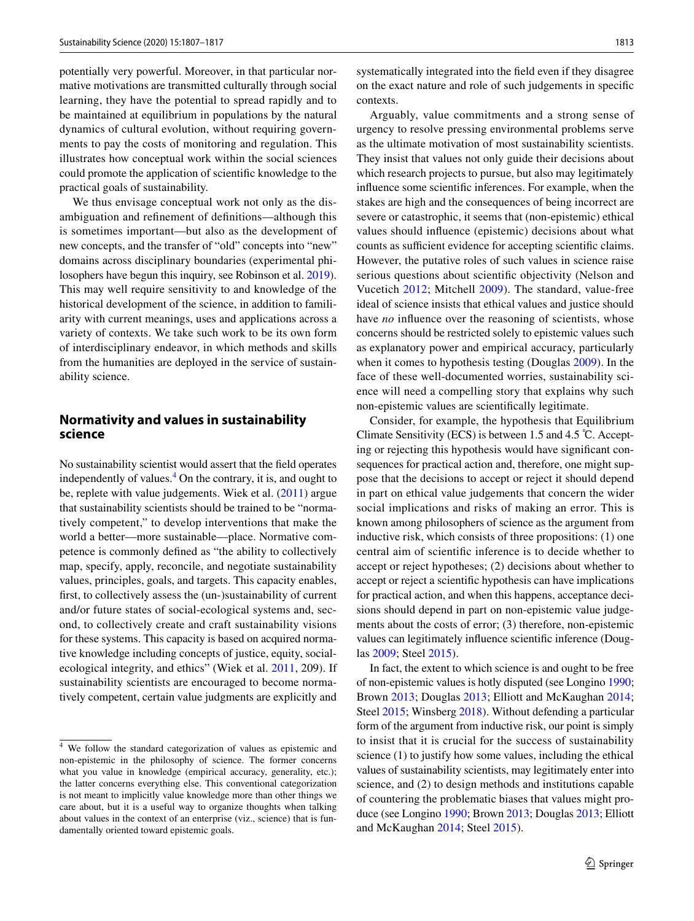potentially very powerful. Moreover, in that particular normative motivations are transmitted culturally through social learning, they have the potential to spread rapidly and to be maintained at equilibrium in populations by the natural dynamics of cultural evolution, without requiring governments to pay the costs of monitoring and regulation. This illustrates how conceptual work within the social sciences could promote the application of scientifc knowledge to the practical goals of sustainability.

We thus envisage conceptual work not only as the disambiguation and refnement of defnitions—although this is sometimes important—but also as the development of new concepts, and the transfer of "old" concepts into "new" domains across disciplinary boundaries (experimental philosophers have begun this inquiry, see Robinson et al. [2019](#page-10-40)). This may well require sensitivity to and knowledge of the historical development of the science, in addition to familiarity with current meanings, uses and applications across a variety of contexts. We take such work to be its own form of interdisciplinary endeavor, in which methods and skills from the humanities are deployed in the service of sustainability science.

# **Normativity and values in sustainability science**

No sustainability scientist would assert that the feld operates independently of values.<sup>4</sup> On the contrary, it is, and ought to be, replete with value judgements. Wiek et al. ([2011](#page-10-41)) argue that sustainability scientists should be trained to be "normatively competent," to develop interventions that make the world a better—more sustainable—place. Normative competence is commonly defned as "the ability to collectively map, specify, apply, reconcile, and negotiate sustainability values, principles, goals, and targets. This capacity enables, frst, to collectively assess the (un-)sustainability of current and/or future states of social-ecological systems and, second, to collectively create and craft sustainability visions for these systems. This capacity is based on acquired normative knowledge including concepts of justice, equity, socialecological integrity, and ethics" (Wiek et al. [2011](#page-10-41), 209). If sustainability scientists are encouraged to become normatively competent, certain value judgments are explicitly and

systematically integrated into the feld even if they disagree on the exact nature and role of such judgements in specifc contexts.

Arguably, value commitments and a strong sense of urgency to resolve pressing environmental problems serve as the ultimate motivation of most sustainability scientists. They insist that values not only guide their decisions about which research projects to pursue, but also may legitimately infuence some scientifc inferences. For example, when the stakes are high and the consequences of being incorrect are severe or catastrophic, it seems that (non-epistemic) ethical values should infuence (epistemic) decisions about what counts as sufficient evidence for accepting scientific claims. However, the putative roles of such values in science raise serious questions about scientifc objectivity (Nelson and Vucetich [2012;](#page-10-0) Mitchell [2009](#page-10-3)). The standard, value-free ideal of science insists that ethical values and justice should have *no* influence over the reasoning of scientists, whose concerns should be restricted solely to epistemic values such as explanatory power and empirical accuracy, particularly when it comes to hypothesis testing (Douglas [2009](#page-9-5)). In the face of these well-documented worries, sustainability science will need a compelling story that explains why such non-epistemic values are scientifcally legitimate.

Consider, for example, the hypothesis that Equilibrium Climate Sensitivity (ECS) is between 1.5 and 4.5 ℃. Accepting or rejecting this hypothesis would have signifcant consequences for practical action and, therefore, one might suppose that the decisions to accept or reject it should depend in part on ethical value judgements that concern the wider social implications and risks of making an error. This is known among philosophers of science as the argument from inductive risk, which consists of three propositions: (1) one central aim of scientifc inference is to decide whether to accept or reject hypotheses; (2) decisions about whether to accept or reject a scientifc hypothesis can have implications for practical action, and when this happens, acceptance decisions should depend in part on non-epistemic value judgements about the costs of error; (3) therefore, non-epistemic values can legitimately infuence scientifc inference (Douglas [2009](#page-9-5); Steel [2015](#page-10-4)).

In fact, the extent to which science is and ought to be free of non-epistemic values is hotly disputed (see Longino [1990](#page-10-2); Brown [2013](#page-8-17); Douglas [2013](#page-9-39); Elliott and McKaughan [2014](#page-9-40); Steel [2015](#page-10-4); Winsberg [2018](#page-10-1)). Without defending a particular form of the argument from inductive risk, our point is simply to insist that it is crucial for the success of sustainability science (1) to justify how some values, including the ethical values of sustainability scientists, may legitimately enter into science, and (2) to design methods and institutions capable of countering the problematic biases that values might produce (see Longino [1990;](#page-10-2) Brown [2013;](#page-8-17) Douglas [2013;](#page-9-39) Elliott and McKaughan [2014;](#page-9-40) Steel [2015\)](#page-10-4).

<span id="page-6-0"></span><sup>4</sup> We follow the standard categorization of values as epistemic and non-epistemic in the philosophy of science. The former concerns what you value in knowledge (empirical accuracy, generality, etc.); the latter concerns everything else. This conventional categorization is not meant to implicitly value knowledge more than other things we care about, but it is a useful way to organize thoughts when talking about values in the context of an enterprise (viz., science) that is fundamentally oriented toward epistemic goals.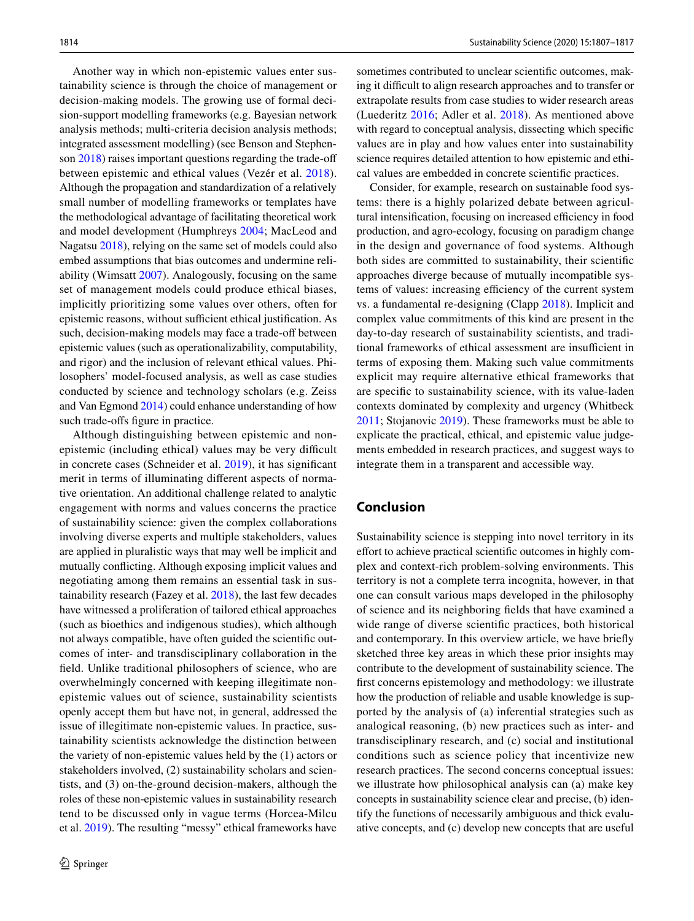Another way in which non-epistemic values enter sustainability science is through the choice of management or decision-making models. The growing use of formal decision-support modelling frameworks (e.g. Bayesian network analysis methods; multi-criteria decision analysis methods; integrated assessment modelling) (see Benson and Stephen-son [2018](#page-8-18)) raises important questions regarding the trade-off between epistemic and ethical values (Vezér et al. [2018](#page-10-42)). Although the propagation and standardization of a relatively small number of modelling frameworks or templates have the methodological advantage of facilitating theoretical work and model development (Humphreys [2004;](#page-9-41) MacLeod and Nagatsu [2018\)](#page-10-23), relying on the same set of models could also embed assumptions that bias outcomes and undermine reliability (Wimsatt [2007\)](#page-10-43). Analogously, focusing on the same set of management models could produce ethical biases, implicitly prioritizing some values over others, often for epistemic reasons, without sufficient ethical justification. As such, decision-making models may face a trade-off between epistemic values (such as operationalizability, computability, and rigor) and the inclusion of relevant ethical values. Philosophers' model-focused analysis, as well as case studies conducted by science and technology scholars (e.g. Zeiss and Van Egmond [2014](#page-10-44)) could enhance understanding of how such trade-offs figure in practice.

Although distinguishing between epistemic and nonepistemic (including ethical) values may be very difficult in concrete cases (Schneider et al. [2019\)](#page-10-45), it has signifcant merit in terms of illuminating diferent aspects of normative orientation. An additional challenge related to analytic engagement with norms and values concerns the practice of sustainability science: given the complex collaborations involving diverse experts and multiple stakeholders, values are applied in pluralistic ways that may well be implicit and mutually conficting. Although exposing implicit values and negotiating among them remains an essential task in sustainability research (Fazey et al. [2018](#page-9-18)), the last few decades have witnessed a proliferation of tailored ethical approaches (such as bioethics and indigenous studies), which although not always compatible, have often guided the scientifc outcomes of inter- and transdisciplinary collaboration in the feld. Unlike traditional philosophers of science, who are overwhelmingly concerned with keeping illegitimate nonepistemic values out of science, sustainability scientists openly accept them but have not, in general, addressed the issue of illegitimate non-epistemic values. In practice, sustainability scientists acknowledge the distinction between the variety of non-epistemic values held by the (1) actors or stakeholders involved, (2) sustainability scholars and scientists, and (3) on-the-ground decision-makers, although the roles of these non-epistemic values in sustainability research tend to be discussed only in vague terms (Horcea-Milcu et al. [2019\)](#page-9-42). The resulting "messy" ethical frameworks have

sometimes contributed to unclear scientifc outcomes, making it difficult to align research approaches and to transfer or extrapolate results from case studies to wider research areas (Luederitz [2016](#page-9-43); Adler et al. [2018\)](#page-8-1). As mentioned above with regard to conceptual analysis, dissecting which specifc values are in play and how values enter into sustainability science requires detailed attention to how epistemic and ethical values are embedded in concrete scientifc practices.

Consider, for example, research on sustainable food systems: there is a highly polarized debate between agricultural intensification, focusing on increased efficiency in food production, and agro-ecology, focusing on paradigm change in the design and governance of food systems. Although both sides are committed to sustainability, their scientifc approaches diverge because of mutually incompatible systems of values: increasing efficiency of the current system vs. a fundamental re-designing (Clapp [2018\)](#page-8-3). Implicit and complex value commitments of this kind are present in the day-to-day research of sustainability scientists, and traditional frameworks of ethical assessment are insufficient in terms of exposing them. Making such value commitments explicit may require alternative ethical frameworks that are specifc to sustainability science, with its value-laden contexts dominated by complexity and urgency (Whitbeck [2011](#page-10-46); Stojanovic [2019](#page-10-47)). These frameworks must be able to explicate the practical, ethical, and epistemic value judgements embedded in research practices, and suggest ways to integrate them in a transparent and accessible way.

# **Conclusion**

Sustainability science is stepping into novel territory in its efort to achieve practical scientifc outcomes in highly complex and context-rich problem-solving environments. This territory is not a complete terra incognita, however, in that one can consult various maps developed in the philosophy of science and its neighboring felds that have examined a wide range of diverse scientifc practices, both historical and contemporary. In this overview article, we have briefy sketched three key areas in which these prior insights may contribute to the development of sustainability science. The frst concerns epistemology and methodology: we illustrate how the production of reliable and usable knowledge is supported by the analysis of (a) inferential strategies such as analogical reasoning, (b) new practices such as inter- and transdisciplinary research, and (c) social and institutional conditions such as science policy that incentivize new research practices. The second concerns conceptual issues: we illustrate how philosophical analysis can (a) make key concepts in sustainability science clear and precise, (b) identify the functions of necessarily ambiguous and thick evaluative concepts, and (c) develop new concepts that are useful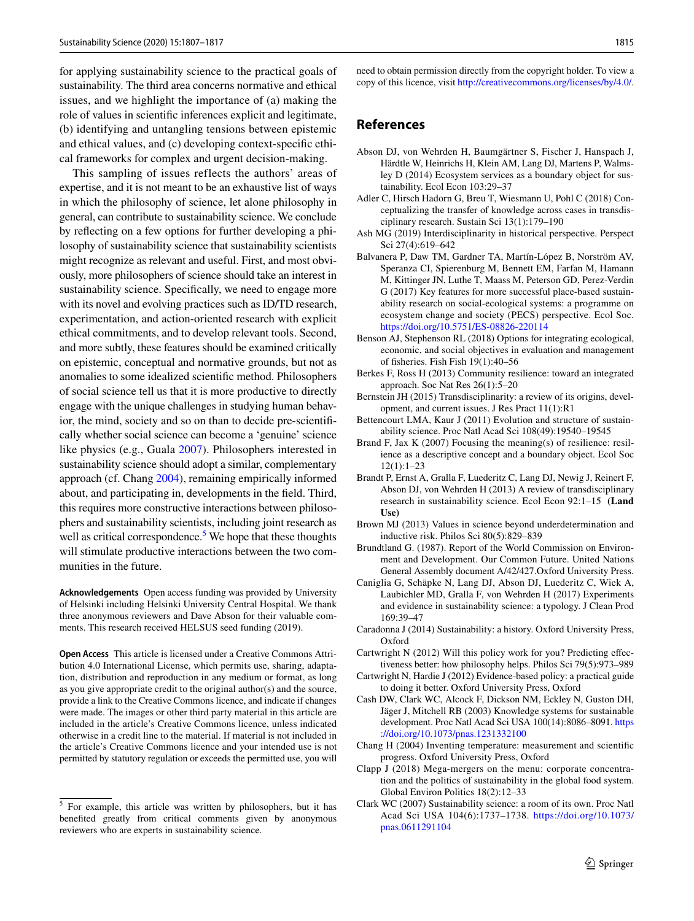for applying sustainability science to the practical goals of sustainability. The third area concerns normative and ethical issues, and we highlight the importance of (a) making the role of values in scientifc inferences explicit and legitimate, (b) identifying and untangling tensions between epistemic and ethical values, and (c) developing context-specifc ethical frameworks for complex and urgent decision-making.

This sampling of issues reflects the authors' areas of expertise, and it is not meant to be an exhaustive list of ways in which the philosophy of science, let alone philosophy in general, can contribute to sustainability science. We conclude by refecting on a few options for further developing a philosophy of sustainability science that sustainability scientists might recognize as relevant and useful. First, and most obviously, more philosophers of science should take an interest in sustainability science. Specifcally, we need to engage more with its novel and evolving practices such as ID/TD research, experimentation, and action-oriented research with explicit ethical commitments, and to develop relevant tools. Second, and more subtly, these features should be examined critically on epistemic, conceptual and normative grounds, but not as anomalies to some idealized scientifc method. Philosophers of social science tell us that it is more productive to directly engage with the unique challenges in studying human behavior, the mind, society and so on than to decide pre-scientifcally whether social science can become a 'genuine' science like physics (e.g., Guala [2007\)](#page-9-44). Philosophers interested in sustainability science should adopt a similar, complementary approach (cf. Chang [2004\)](#page-8-19), remaining empirically informed about, and participating in, developments in the feld. Third, this requires more constructive interactions between philosophers and sustainability scientists, including joint research as well as critical correspondence.<sup>[5](#page-8-20)</sup> We hope that these thoughts will stimulate productive interactions between the two communities in the future.

**Acknowledgements** Open access funding was provided by University of Helsinki including Helsinki University Central Hospital. We thank three anonymous reviewers and Dave Abson for their valuable comments. This research received HELSUS seed funding (2019).

**Open Access** This article is licensed under a Creative Commons Attribution 4.0 International License, which permits use, sharing, adaptation, distribution and reproduction in any medium or format, as long as you give appropriate credit to the original author(s) and the source, provide a link to the Creative Commons licence, and indicate if changes were made. The images or other third party material in this article are included in the article's Creative Commons licence, unless indicated otherwise in a credit line to the material. If material is not included in the article's Creative Commons licence and your intended use is not permitted by statutory regulation or exceeds the permitted use, you will need to obtain permission directly from the copyright holder. To view a copy of this licence, visit<http://creativecommons.org/licenses/by/4.0/>.

#### **References**

- <span id="page-8-15"></span>Abson DJ, von Wehrden H, Baumgärtner S, Fischer J, Hanspach J, Härdtle W, Heinrichs H, Klein AM, Lang DJ, Martens P, Walmsley D (2014) Ecosystem services as a boundary object for sustainability. Ecol Econ 103:29–37
- <span id="page-8-1"></span>Adler C, Hirsch Hadorn G, Breu T, Wiesmann U, Pohl C (2018) Conceptualizing the transfer of knowledge across cases in transdisciplinary research. Sustain Sci 13(1):179–190
- <span id="page-8-13"></span>Ash MG (2019) Interdisciplinarity in historical perspective. Perspect Sci 27(4):619–642
- <span id="page-8-7"></span>Balvanera P, Daw TM, Gardner TA, Martín-López B, Norström AV, Speranza CI, Spierenburg M, Bennett EM, Farfan M, Hamann M, Kittinger JN, Luthe T, Maass M, Peterson GD, Perez-Verdin G (2017) Key features for more successful place-based sustainability research on social-ecological systems: a programme on ecosystem change and society (PECS) perspective. Ecol Soc. <https://doi.org/10.5751/ES-08826-220114>
- <span id="page-8-18"></span>Benson AJ, Stephenson RL (2018) Options for integrating ecological, economic, and social objectives in evaluation and management of fsheries. Fish Fish 19(1):40–56
- <span id="page-8-16"></span>Berkes F, Ross H (2013) Community resilience: toward an integrated approach. Soc Nat Res 26(1):5–20
- <span id="page-8-11"></span>Bernstein JH (2015) Transdisciplinarity: a review of its origins, development, and current issues. J Res Pract 11(1):R1
- <span id="page-8-0"></span>Bettencourt LMA, Kaur J (2011) Evolution and structure of sustainability science. Proc Natl Acad Sci 108(49):19540–19545
- <span id="page-8-14"></span>Brand F, Jax K (2007) Focusing the meaning(s) of resilience: resilience as a descriptive concept and a boundary object. Ecol Soc 12(1):1–23
- <span id="page-8-12"></span>Brandt P, Ernst A, Gralla F, Luederitz C, Lang DJ, Newig J, Reinert F, Abson DJ, von Wehrden H (2013) A review of transdisciplinary research in sustainability science. Ecol Econ 92:1–15 **(Land Use)**
- <span id="page-8-17"></span>Brown MJ (2013) Values in science beyond underdetermination and inductive risk. Philos Sci 80(5):829–839
- <span id="page-8-6"></span>Brundtland G. (1987). Report of the World Commission on Environment and Development. Our Common Future. United Nations General Assembly document A/42/427.Oxford University Press.
- <span id="page-8-2"></span>Caniglia G, Schäpke N, Lang DJ, Abson DJ, Luederitz C, Wiek A, Laubichler MD, Gralla F, von Wehrden H (2017) Experiments and evidence in sustainability science: a typology. J Clean Prod 169:39–47
- <span id="page-8-5"></span>Caradonna J (2014) Sustainability: a history. Oxford University Press, Oxford
- <span id="page-8-10"></span>Cartwright N (2012) Will this policy work for you? Predicting efectiveness better: how philosophy helps. Philos Sci 79(5):973–989
- <span id="page-8-4"></span>Cartwright N, Hardie J (2012) Evidence-based policy: a practical guide to doing it better. Oxford University Press, Oxford
- <span id="page-8-9"></span>Cash DW, Clark WC, Alcock F, Dickson NM, Eckley N, Guston DH, Jäger J, Mitchell RB (2003) Knowledge systems for sustainable development. Proc Natl Acad Sci USA 100(14):8086–8091. [https](https://doi.org/10.1073/pnas.1231332100) [://doi.org/10.1073/pnas.1231332100](https://doi.org/10.1073/pnas.1231332100)
- <span id="page-8-19"></span>Chang H (2004) Inventing temperature: measurement and scientifc progress. Oxford University Press, Oxford
- <span id="page-8-3"></span>Clapp J (2018) Mega-mergers on the menu: corporate concentration and the politics of sustainability in the global food system. Global Environ Politics 18(2):12–33
- <span id="page-8-8"></span>Clark WC (2007) Sustainability science: a room of its own. Proc Natl Acad Sci USA 104(6):1737–1738. [https://doi.org/10.1073/](https://doi.org/10.1073/pnas.0611291104) [pnas.0611291104](https://doi.org/10.1073/pnas.0611291104)

<span id="page-8-20"></span><sup>5</sup> For example, this article was written by philosophers, but it has benefted greatly from critical comments given by anonymous reviewers who are experts in sustainability science.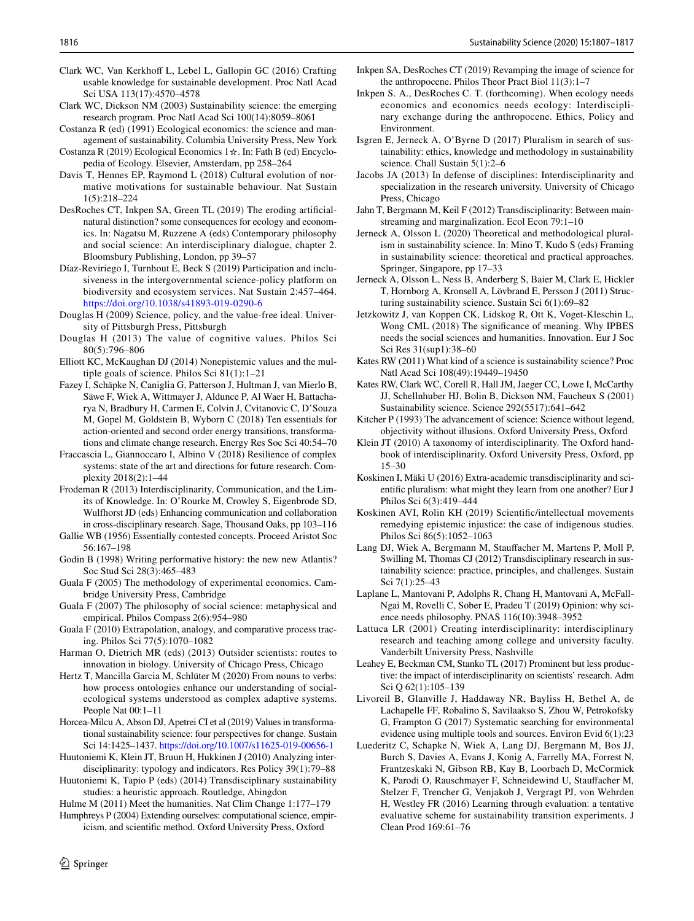- <span id="page-9-15"></span>Clark WC, Van Kerkhoff L, Lebel L, Gallopin GC (2016) Crafting usable knowledge for sustainable development. Proc Natl Acad Sci USA 113(17):4570–4578
- <span id="page-9-0"></span>Clark WC, Dickson NM (2003) Sustainability science: the emerging research program. Proc Natl Acad Sci 100(14):8059–8061
- <span id="page-9-14"></span>Costanza R (ed) (1991) Ecological economics: the science and management of sustainability. Columbia University Press, New York
- <span id="page-9-13"></span>Costanza R (2019) Ecological Economics 1☆. In: Fath B (ed) Encyclopedia of Ecology. Elsevier, Amsterdam, pp 258–264
- <span id="page-9-7"></span>Davis T, Hennes EP, Raymond L (2018) Cultural evolution of normative motivations for sustainable behaviour. Nat Sustain 1(5):218–224
- <span id="page-9-32"></span>DesRoches CT, Inkpen SA, Green TL (2019) The eroding artifcialnatural distinction? some consequences for ecology and economics. In: Nagatsu M, Ruzzene A (eds) Contemporary philosophy and social science: An interdisciplinary dialogue, chapter 2. Bloomsbury Publishing, London, pp 39–57
- <span id="page-9-11"></span>Díaz-Reviriego I, Turnhout E, Beck S (2019) Participation and inclusiveness in the intergovernmental science-policy platform on biodiversity and ecosystem services. Nat Sustain 2:457–464. <https://doi.org/10.1038/s41893-019-0290-6>
- <span id="page-9-5"></span>Douglas H (2009) Science, policy, and the value-free ideal. University of Pittsburgh Press, Pittsburgh
- <span id="page-9-39"></span>Douglas H (2013) The value of cognitive values. Philos Sci 80(5):796–806
- <span id="page-9-40"></span>Elliott KC, McKaughan DJ (2014) Nonepistemic values and the multiple goals of science. Philos Sci 81(1):1–21
- <span id="page-9-18"></span>Fazey I, Schäpke N, Caniglia G, Patterson J, Hultman J, van Mierlo B, Säwe F, Wiek A, Wittmayer J, Aldunce P, Al Waer H, Battacharya N, Bradbury H, Carmen E, Colvin J, Cvitanovic C, D'Souza M, Gopel M, Goldstein B, Wyborn C (2018) Ten essentials for action-oriented and second order energy transitions, transformations and climate change research. Energy Res Soc Sci 40:54–70
- <span id="page-9-38"></span>Fraccascia L, Giannoccaro I, Albino V (2018) Resilience of complex systems: state of the art and directions for future research. Complexity 2018(2):1–44
- <span id="page-9-31"></span>Frodeman R (2013) Interdisciplinarity, Communication, and the Limits of Knowledge. In: O'Rourke M, Crowley S, Eigenbrode SD, Wulfhorst JD (eds) Enhancing communication and collaboration in cross-disciplinary research. Sage, Thousand Oaks, pp 103–116
- <span id="page-9-37"></span>Gallie WB (1956) Essentially contested concepts. Proceed Aristot Soc 56:167–198
- <span id="page-9-28"></span>Godin B (1998) Writing performative history: the new new Atlantis? Soc Stud Sci 28(3):465–483
- <span id="page-9-22"></span>Guala F (2005) The methodology of experimental economics. Cambridge University Press, Cambridge
- <span id="page-9-44"></span>Guala F (2007) The philosophy of social science: metaphysical and empirical. Philos Compass 2(6):954–980
- <span id="page-9-23"></span>Guala F (2010) Extrapolation, analogy, and comparative process tracing. Philos Sci 77(5):1070–1082
- <span id="page-9-27"></span>Harman O, Dietrich MR (eds) (2013) Outsider scientists: routes to innovation in biology. University of Chicago Press, Chicago
- <span id="page-9-21"></span>Hertz T, Mancilla Garcia M, Schlüter M (2020) From nouns to verbs: how process ontologies enhance our understanding of socialecological systems understood as complex adaptive systems. People Nat 00:1–11
- <span id="page-9-42"></span>Horcea-Milcu A, Abson DJ, Apetrei CI et al (2019) Values in transformational sustainability science: four perspectives for change. Sustain Sci 14:1425–1437.<https://doi.org/10.1007/s11625-019-00656-1>
- <span id="page-9-25"></span>Huutoniemi K, Klein JT, Bruun H, Hukkinen J (2010) Analyzing interdisciplinarity: typology and indicators. Res Policy 39(1):79–88
- <span id="page-9-19"></span>Huutoniemi K, Tapio P (eds) (2014) Transdisciplinary sustainability studies: a heuristic approach. Routledge, Abingdon

<span id="page-9-8"></span>Hulme M (2011) Meet the humanities. Nat Clim Change 1:177–179

<span id="page-9-41"></span>Humphreys P (2004) Extending ourselves: computational science, empiricism, and scientifc method. Oxford University Press, Oxford

- <span id="page-9-33"></span>Inkpen SA, DesRoches CT (2019) Revamping the image of science for the anthropocene. Philos Theor Pract Biol 11(3):1–7
- <span id="page-9-34"></span>Inkpen S. A., DesRoches C. T. (forthcoming). When ecology needs economics and economics needs ecology: Interdisciplinary exchange during the anthropocene. Ethics, Policy and Environment.
- <span id="page-9-16"></span>Isgren E, Jerneck A, O'Byrne D (2017) Pluralism in search of sustainability: ethics, knowledge and methodology in sustainability science. Chall Sustain 5(1):2–6
- <span id="page-9-29"></span>Jacobs JA (2013) In defense of disciplines: Interdisciplinarity and specialization in the research university. University of Chicago Press, Chicago
- <span id="page-9-20"></span>Jahn T, Bergmann M, Keil F (2012) Transdisciplinarity: Between mainstreaming and marginalization. Ecol Econ 79:1–10
- <span id="page-9-17"></span>Jerneck A, Olsson L (2020) Theoretical and methodological pluralism in sustainability science. In: Mino T, Kudo S (eds) Framing in sustainability science: theoretical and practical approaches. Springer, Singapore, pp 17–33
- <span id="page-9-2"></span>Jerneck A, Olsson L, Ness B, Anderberg S, Baier M, Clark E, Hickler T, Hornborg A, Kronsell A, Lövbrand E, Persson J (2011) Structuring sustainability science. Sustain Sci 6(1):69–82
- <span id="page-9-9"></span>Jetzkowitz J, van Koppen CK, Lidskog R, Ott K, Voget-Kleschin L, Wong CML (2018) The signifcance of meaning. Why IPBES needs the social sciences and humanities. Innovation. Eur J Soc Sci Res 31(sup1):38–60
- <span id="page-9-1"></span>Kates RW (2011) What kind of a science is sustainability science? Proc Natl Acad Sci 108(49):19449–19450
- <span id="page-9-12"></span>Kates RW, Clark WC, Corell R, Hall JM, Jaeger CC, Lowe I, McCarthy JJ, Schellnhuber HJ, Bolin B, Dickson NM, Faucheux S (2001) Sustainability science. Science 292(5517):641–642
- <span id="page-9-36"></span>Kitcher P (1993) The advancement of science: Science without legend, objectivity without illusions. Oxford University Press, Oxford
- <span id="page-9-26"></span>Klein JT (2010) A taxonomy of interdisciplinarity. The Oxford handbook of interdisciplinarity. Oxford University Press, Oxford, pp 15–30
- <span id="page-9-30"></span>Koskinen I, Mäki U (2016) Extra-academic transdisciplinarity and scientifc pluralism: what might they learn from one another? Eur J Philos Sci 6(3):419–444
- <span id="page-9-6"></span>Koskinen AVI, Rolin KH (2019) Scientifc/intellectual movements remedying epistemic injustice: the case of indigenous studies. Philos Sci 86(5):1052–1063
- <span id="page-9-4"></span>Lang DJ, Wiek A, Bergmann M, Staufacher M, Martens P, Moll P, Swilling M, Thomas CJ (2012) Transdisciplinary research in sustainability science: practice, principles, and challenges. Sustain Sci 7(1):25–43
- <span id="page-9-10"></span>Laplane L, Mantovani P, Adolphs R, Chang H, Mantovani A, McFall-Ngai M, Rovelli C, Sober E, Pradeu T (2019) Opinion: why science needs philosophy. PNAS 116(10):3948–3952
- <span id="page-9-24"></span>Lattuca LR (2001) Creating interdisciplinarity: interdisciplinary research and teaching among college and university faculty. Vanderbilt University Press, Nashville
- <span id="page-9-35"></span>Leahey E, Beckman CM, Stanko TL (2017) Prominent but less productive: the impact of interdisciplinarity on scientists' research. Adm Sci Q 62(1):105–139
- <span id="page-9-3"></span>Livoreil B, Glanville J, Haddaway NR, Bayliss H, Bethel A, de Lachapelle FF, Robalino S, Savilaakso S, Zhou W, Petrokofsky G, Frampton G (2017) Systematic searching for environmental evidence using multiple tools and sources. Environ Evid 6(1):23
- <span id="page-9-43"></span>Luederitz C, Schapke N, Wiek A, Lang DJ, Bergmann M, Bos JJ, Burch S, Davies A, Evans J, Konig A, Farrelly MA, Forrest N, Frantzeskaki N, Gibson RB, Kay B, Loorbach D, McCormick K, Parodi O, Rauschmayer F, Schneidewind U, Staufacher M, Stelzer F, Trencher G, Venjakob J, Vergragt PJ, von Wehrden H, Westley FR (2016) Learning through evaluation: a tentative evaluative scheme for sustainability transition experiments. J Clean Prod 169:61–76